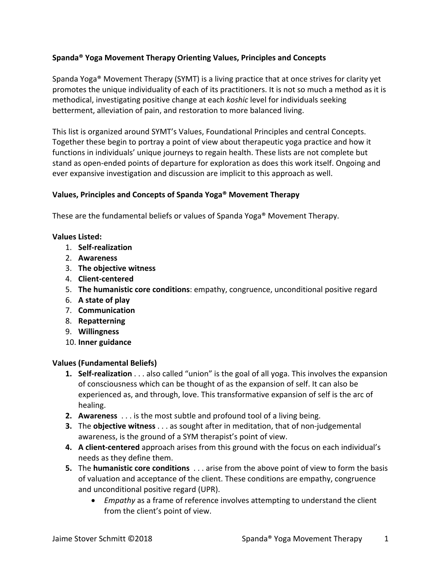# **Spanda® Yoga Movement Therapy Orienting Values, Principles and Concepts**

Spanda Yoga® Movement Therapy (SYMT) is a living practice that at once strives for clarity yet promotes the unique individuality of each of its practitioners. It is not so much a method as it is methodical, investigating positive change at each *koshic* level for individuals seeking betterment, alleviation of pain, and restoration to more balanced living.

This list is organized around SYMT's Values, Foundational Principles and central Concepts. Together these begin to portray a point of view about therapeutic yoga practice and how it functions in individuals' unique journeys to regain health. These lists are not complete but stand as open-ended points of departure for exploration as does this work itself. Ongoing and ever expansive investigation and discussion are implicit to this approach as well.

# **Values, Principles and Concepts of Spanda Yoga® Movement Therapy**

These are the fundamental beliefs or values of Spanda Yoga® Movement Therapy.

### **Values Listed:**

- 1. **Self-realization**
- 2. **Awareness**
- 3. **The objective witness**
- 4. **Client-centered**
- 5. **The humanistic core conditions**: empathy, congruence, unconditional positive regard
- 6. **A state of play**
- 7. **Communication**
- 8. **Repatterning**
- 9. **Willingness**
- 10. **Inner guidance**

#### **Values (Fundamental Beliefs)**

- **1. Self-realization** . . . also called "union" is the goal of all yoga. This involves the expansion of consciousness which can be thought of as the expansion of self. It can also be experienced as, and through, love. This transformative expansion of self is the arc of healing.
- **2. Awareness** . . . is the most subtle and profound tool of a living being.
- **3.** The **objective witness** . . . as sought after in meditation, that of non-judgemental awareness, is the ground of a SYM therapist's point of view.
- **4. A client-centered** approach arises from this ground with the focus on each individual's needs as they define them.
- **5.** The **humanistic core conditions** . . . arise from the above point of view to form the basis of valuation and acceptance of the client. These conditions are empathy, congruence and unconditional positive regard (UPR).
	- *Empathy* as a frame of reference involves attempting to understand the client from the client's point of view.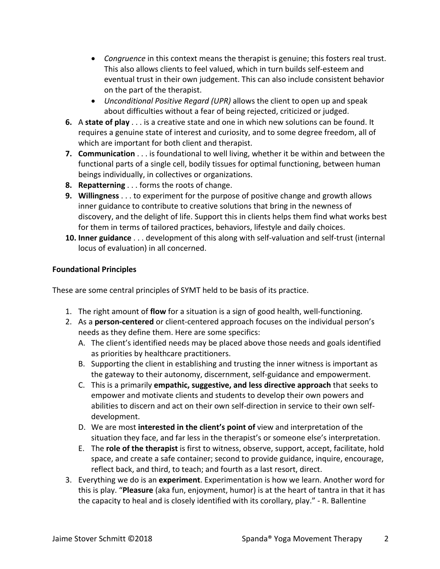- *Congruence* in this context means the therapist is genuine; this fosters real trust. This also allows clients to feel valued, which in turn builds self-esteem and eventual trust in their own judgement. This can also include consistent behavior on the part of the therapist.
- *Unconditional Positive Regard (UPR)* allows the client to open up and speak about difficulties without a fear of being rejected, criticized or judged.
- **6.** A **state of play** . . . is a creative state and one in which new solutions can be found. It requires a genuine state of interest and curiosity, and to some degree freedom, all of which are important for both client and therapist.
- **7. Communication** . . . is foundational to well living, whether it be within and between the functional parts of a single cell, bodily tissues for optimal functioning, between human beings individually, in collectives or organizations.
- **8. Repatterning** . . . forms the roots of change.
- **9. Willingness** . . . to experiment for the purpose of positive change and growth allows inner guidance to contribute to creative solutions that bring in the newness of discovery, and the delight of life. Support this in clients helps them find what works best for them in terms of tailored practices, behaviors, lifestyle and daily choices.
- **10. Inner guidance** . . . development of this along with self-valuation and self-trust (internal locus of evaluation) in all concerned.

# **Foundational Principles**

These are some central principles of SYMT held to be basis of its practice.

- 1. The right amount of **flow** for a situation is a sign of good health, well-functioning.
- 2. As a **person-centered** or client-centered approach focuses on the individual person's needs as they define them. Here are some specifics:
	- A. The client's identified needs may be placed above those needs and goals identified as priorities by healthcare practitioners.
	- B. Supporting the client in establishing and trusting the inner witness is important as the gateway to their autonomy, discernment, self-guidance and empowerment.
	- C. This is a primarily **empathic, suggestive, and less directive approach** that seeks to empower and motivate clients and students to develop their own powers and abilities to discern and act on their own self-direction in service to their own selfdevelopment.
	- D. We are most **interested in the client's point of** view and interpretation of the situation they face, and far less in the therapist's or someone else's interpretation.
	- E. The **role of the therapist** is first to witness, observe, support, accept, facilitate, hold space, and create a safe container; second to provide guidance, inquire, encourage, reflect back, and third, to teach; and fourth as a last resort, direct.
- 3. Everything we do is an **experiment**. Experimentation is how we learn. Another word for this is play. "**Pleasure** (aka fun, enjoyment, humor) is at the heart of tantra in that it has the capacity to heal and is closely identified with its corollary, play." - R. Ballentine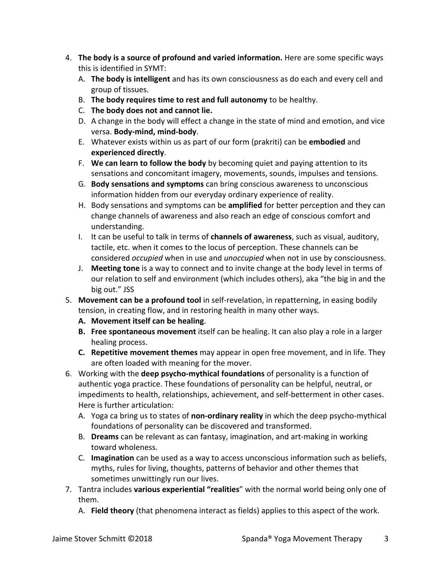- 4. **The body is a source of profound and varied information.** Here are some specific ways this is identified in SYMT:
	- A. **The body is intelligent** and has its own consciousness as do each and every cell and group of tissues.
	- B. **The body requires time to rest and full autonomy** to be healthy.
	- C. **The body does not and cannot lie.**
	- D. A change in the body will effect a change in the state of mind and emotion, and vice versa. **Body-mind, mind-body**.
	- E. Whatever exists within us as part of our form (prakriti) can be **embodied** and **experienced directly**.
	- F. **We can learn to follow the body** by becoming quiet and paying attention to its sensations and concomitant imagery, movements, sounds, impulses and tensions.
	- G. **Body sensations and symptoms** can bring conscious awareness to unconscious information hidden from our everyday ordinary experience of reality.
	- H. Body sensations and symptoms can be **amplified** for better perception and they can change channels of awareness and also reach an edge of conscious comfort and understanding.
	- I. It can be useful to talk in terms of **channels of awareness**, such as visual, auditory, tactile, etc. when it comes to the locus of perception. These channels can be considered *occupied* when in use and *unoccupied* when not in use by consciousness.
	- J. **Meeting tone** is a way to connect and to invite change at the body level in terms of our relation to self and environment (which includes others), aka "the big in and the big out." JSS
- 5. **Movement can be a profound tool** in self-revelation, in repatterning, in easing bodily tension, in creating flow, and in restoring health in many other ways.
	- **A. Movement itself can be healing**.
	- **B. Free spontaneous movement** itself can be healing. It can also play a role in a larger healing process.
	- **C. Repetitive movement themes** may appear in open free movement, and in life. They are often loaded with meaning for the mover.
- 6. Working with the **deep psycho-mythical foundations** of personality is a function of authentic yoga practice. These foundations of personality can be helpful, neutral, or impediments to health, relationships, achievement, and self-betterment in other cases. Here is further articulation:
	- A. Yoga ca bring us to states of **non-ordinary reality** in which the deep psycho-mythical foundations of personality can be discovered and transformed.
	- B. **Dreams** can be relevant as can fantasy, imagination, and art-making in working toward wholeness.
	- C. **Imagination** can be used as a way to access unconscious information such as beliefs, myths, rules for living, thoughts, patterns of behavior and other themes that sometimes unwittingly run our lives.
- 7. Tantra includes **various experiential "realities**" with the normal world being only one of them.
	- A. **Field theory** (that phenomena interact as fields) applies to this aspect of the work.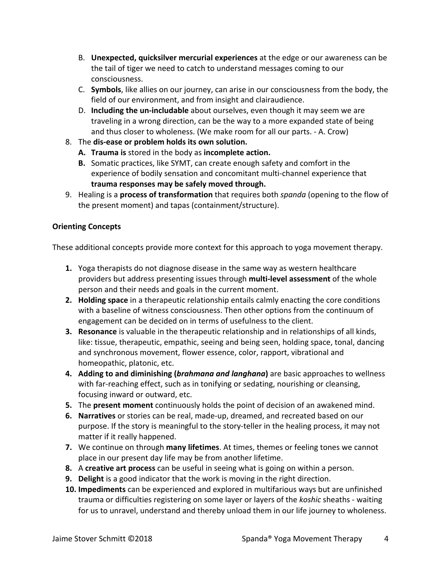- B. **Unexpected, quicksilver mercurial experiences** at the edge or our awareness can be the tail of tiger we need to catch to understand messages coming to our consciousness.
- C. **Symbols**, like allies on our journey, can arise in our consciousness from the body, the field of our environment, and from insight and clairaudience.
- D. **Including the un-includable** about ourselves, even though it may seem we are traveling in a wrong direction, can be the way to a more expanded state of being and thus closer to wholeness. (We make room for all our parts. - A. Crow)
- 8. The **dis-ease or problem holds its own solution.**
	- **A. Trauma is** stored in the body as **incomplete action.**
	- **B.** Somatic practices, like SYMT, can create enough safety and comfort in the experience of bodily sensation and concomitant multi-channel experience that **trauma responses may be safely moved through.**
- 9. Healing is a **process of transformation** that requires both *spanda* (opening to the flow of the present moment) and tapas (containment/structure).

# **Orienting Concepts**

These additional concepts provide more context for this approach to yoga movement therapy.

- **1.** Yoga therapists do not diagnose disease in the same way as western healthcare providers but address presenting issues through **multi-level assessment** of the whole person and their needs and goals in the current moment.
- **2. Holding space** in a therapeutic relationship entails calmly enacting the core conditions with a baseline of witness consciousness. Then other options from the continuum of engagement can be decided on in terms of usefulness to the client.
- **3. Resonance** is valuable in the therapeutic relationship and in relationships of all kinds, like: tissue, therapeutic, empathic, seeing and being seen, holding space, tonal, dancing and synchronous movement, flower essence, color, rapport, vibrational and homeopathic, platonic, etc.
- **4. Adding to and diminishing (***brahmana and langhana***)** are basic approaches to wellness with far-reaching effect, such as in tonifying or sedating, nourishing or cleansing, focusing inward or outward, etc.
- **5.** The **present moment** continuously holds the point of decision of an awakened mind.
- **6. Narratives** or stories can be real, made-up, dreamed, and recreated based on our purpose. If the story is meaningful to the story-teller in the healing process, it may not matter if it really happened.
- **7.** We continue on through **many lifetimes**. At times, themes or feeling tones we cannot place in our present day life may be from another lifetime.
- **8.** A **creative art process** can be useful in seeing what is going on within a person.
- **9. Delight** is a good indicator that the work is moving in the right direction.
- **10. Impediments** can be experienced and explored in multifarious ways but are unfinished trauma or difficulties registering on some layer or layers of the *koshic* sheaths - waiting for us to unravel, understand and thereby unload them in our life journey to wholeness.